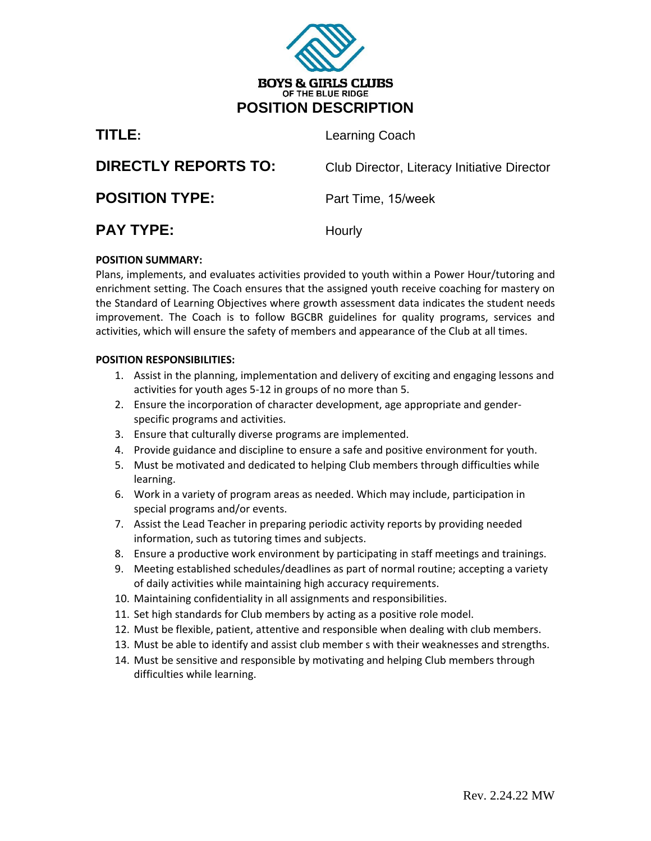

| TITLE:                      | Learning Coach                              |
|-----------------------------|---------------------------------------------|
| <b>DIRECTLY REPORTS TO:</b> | Club Director, Literacy Initiative Director |
| <b>POSITION TYPE:</b>       | Part Time, 15/week                          |
| <b>PAY TYPE:</b>            | Hourly                                      |

# **POSITION SUMMARY:**

Plans, implements, and evaluates activities provided to youth within a Power Hour/tutoring and enrichment setting. The Coach ensures that the assigned youth receive coaching for mastery on the Standard of Learning Objectives where growth assessment data indicates the student needs improvement. The Coach is to follow BGCBR guidelines for quality programs, services and activities, which will ensure the safety of members and appearance of the Club at all times.

# **POSITION RESPONSIBILITIES:**

- 1. Assist in the planning, implementation and delivery of exciting and engaging lessons and activities for youth ages 5-12 in groups of no more than 5.
- 2. Ensure the incorporation of character development, age appropriate and genderspecific programs and activities.
- 3. Ensure that culturally diverse programs are implemented.
- 4. Provide guidance and discipline to ensure a safe and positive environment for youth.
- 5. Must be motivated and dedicated to helping Club members through difficulties while learning.
- 6. Work in a variety of program areas as needed. Which may include, participation in special programs and/or events.
- 7. Assist the Lead Teacher in preparing periodic activity reports by providing needed information, such as tutoring times and subjects.
- 8. Ensure a productive work environment by participating in staff meetings and trainings.
- 9. Meeting established schedules/deadlines as part of normal routine; accepting a variety of daily activities while maintaining high accuracy requirements.
- 10. Maintaining confidentiality in all assignments and responsibilities.
- 11. Set high standards for Club members by acting as a positive role model.
- 12. Must be flexible, patient, attentive and responsible when dealing with club members.
- 13. Must be able to identify and assist club member s with their weaknesses and strengths.
- 14. Must be sensitive and responsible by motivating and helping Club members through difficulties while learning.